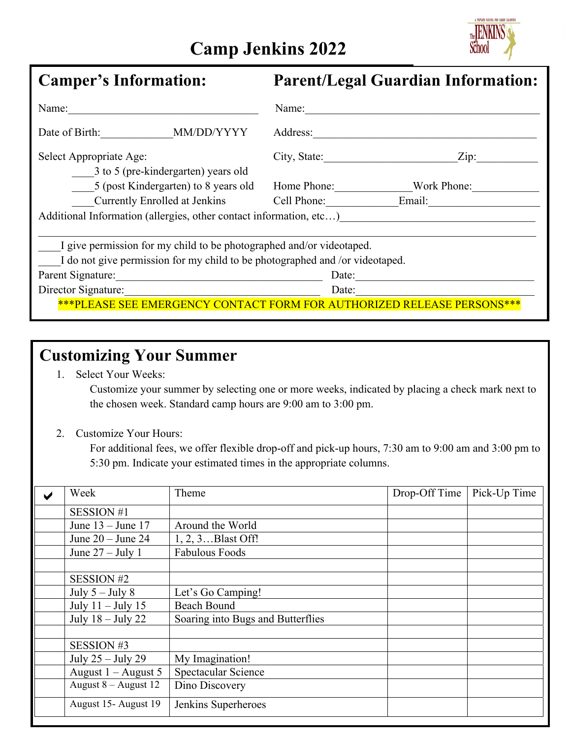## **Camp Jenkins 2022**



| <b>Camper's Information:</b>                                                                                                              | <b>Parent/Legal Guardian Information:</b>                              |  |  |  |  |
|-------------------------------------------------------------------------------------------------------------------------------------------|------------------------------------------------------------------------|--|--|--|--|
| Name:                                                                                                                                     | Name:                                                                  |  |  |  |  |
| MM/DD/YYYY<br>Date of Birth:                                                                                                              | Address:                                                               |  |  |  |  |
| Select Appropriate Age:<br>3 to 5 (pre-kindergarten) years old                                                                            | City, State:<br>Zip:                                                   |  |  |  |  |
| 5 (post Kindergarten) to 8 years old                                                                                                      | Home Phone:<br>Work Phone:                                             |  |  |  |  |
|                                                                                                                                           | Currently Enrolled at Jenkins Cell Phone: Email:                       |  |  |  |  |
|                                                                                                                                           | Additional Information (allergies, other contact information, etc)     |  |  |  |  |
| I give permission for my child to be photographed and/or videotaped.                                                                      |                                                                        |  |  |  |  |
| I do not give permission for my child to be photographed and /or videotaped.                                                              |                                                                        |  |  |  |  |
| Parent Signature:<br><u> 1989 - Johann John Stone, mars eta bainar eta bainar eta baina eta baina eta baina eta baina eta baina eta b</u> | Date:                                                                  |  |  |  |  |
| Director Signature:                                                                                                                       | Date:                                                                  |  |  |  |  |
|                                                                                                                                           | ***PLEASE SEE EMERGENCY CONTACT FORM FOR AUTHORIZED RELEASE PERSONS*** |  |  |  |  |

## **Customizing Your Summer**

1. Select Your Weeks:

Customize your summer by selecting one or more weeks, indicated by placing a check mark next to the chosen week. Standard camp hours are 9:00 am to 3:00 pm.

2. Customize Your Hours:

For additional fees, we offer flexible drop-off and pick-up hours, 7:30 am to 9:00 am and 3:00 pm to 5:30 pm. Indicate your estimated times in the appropriate columns.

| Week                  | Theme                             | Drop-Off Time | Pick-Up Time |
|-----------------------|-----------------------------------|---------------|--------------|
| <b>SESSION #1</b>     |                                   |               |              |
| June $13 -$ June 17   | Around the World                  |               |              |
| June $20 -$ June $24$ | 1, 2, 3Blast Off!                 |               |              |
| June $27 -$ July 1    | <b>Fabulous Foods</b>             |               |              |
|                       |                                   |               |              |
| <b>SESSION #2</b>     |                                   |               |              |
| July $5 -$ July 8     | Let's Go Camping!                 |               |              |
| July $11 -$ July 15   | <b>Beach Bound</b>                |               |              |
| July $18 -$ July 22   | Soaring into Bugs and Butterflies |               |              |
|                       |                                   |               |              |
| SESSION #3            |                                   |               |              |
| July 25 - July 29     | My Imagination!                   |               |              |
| August $1 -$ August 5 | Spectacular Science               |               |              |
| August 8 - August 12  | Dino Discovery                    |               |              |
| August 15- August 19  | Jenkins Superheroes               |               |              |